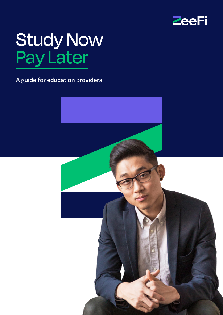

# Study Now Pay Later

**A guide for education providers**

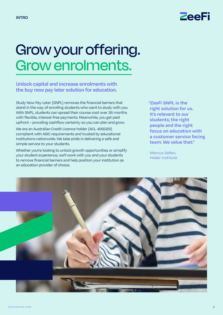

### Grow your offering. Grow enrolments.

**Unlock capital and increase enrolments with the buy now pay later solution for education.**

Study Now Pay Later (SNPL) removes the financial barriers that stand in the way of enrolling students who want to study with you. With SNPL, students can spread their course cost over 36 months with flexible, interest-free payments. Meanwhile, you get paid upfront – providing cashflow certainty so you can plan and grow.

We are an Australian Credit Licence holder (ACL 498589) compliant with ASIC requirements and trusted by educational institutions nationwide. We take pride in delivering a safe and simple service to your students.

Whether you're looking to unlock growth opportunities or simplify your student experience, we'll work with you and your students to remove financial barriers and help position your institution as an education provider of choice.

**"ZeeFi SNPL is the right solution for us. It's relevant to our students; the right people and the right focus on education with a customer service facing team. We value that."** 

Marcus Sellen, Hader Institute

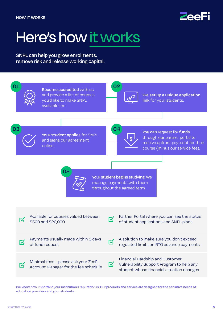

### Here's how it works

**SNPL can help you grow enrolments, remove risk and release working capital.**



**We know how important your institution's reputation is. Our products and service are designed for the sensitive needs of education providers and your students.**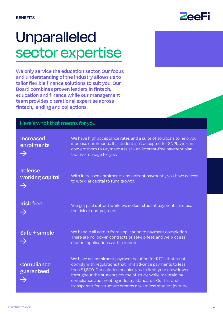### Unparalleled sector expertise

**We only service the education sector. Our focus and understanding of the industry allows us to tailor flexible finance solutions to suit you. Our Board combines proven leaders in fintech, education and finance while our management team provides operational expertise across fintech, lending and collections.** 

| Here's what that means for you                     |                                                                                                                                                                                                                                                                                                                                                                                      |
|----------------------------------------------------|--------------------------------------------------------------------------------------------------------------------------------------------------------------------------------------------------------------------------------------------------------------------------------------------------------------------------------------------------------------------------------------|
| <b>Increased</b><br>enrolments<br>$\rightarrow$    | We have high acceptance rates and a suite of solutions to help you<br>increase enrolments. If a student isn't accepted for SNPL, we can<br>convert them to Payment Assist - an interest-free payment plan<br>that we manage for you.                                                                                                                                                 |
| <b>Release</b><br>working capital<br>$\rightarrow$ | With increased enrolments and upfront payments, you have access<br>to working capital to fund growth.                                                                                                                                                                                                                                                                                |
| <b>Risk free</b><br>$\rightarrow$                  | You get paid upfront while we collect student payments and bear<br>the risk of non-payment.                                                                                                                                                                                                                                                                                          |
| Safe + simple                                      | We handle all admin from application to payment completion.<br>There are no lock-in contracts or set-up fees and we process<br>student applications within minutes.                                                                                                                                                                                                                  |
| <b>Compliance</b><br>guaranteed                    | We have an instalment payment solution for RTOs that must<br>comply with regulations that limit advance payments to less<br>than \$1,500. Our solution enables you to limit your drawdowns<br>throughout the students course of study, while maintaining<br>compliance and meeting industry standards. Our fair and<br>transparent fee structure creates a seamless student journey. |

### **ZeeFi**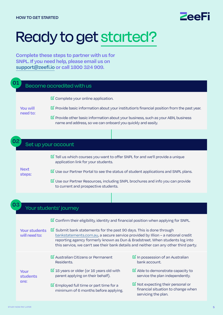

## Ready to get started?

**Complete these steps to partner with us for SNPL. If you need help, please email us on [support@zeefi.io](mailto:support%40zeefi.io?subject=) or call 1800 324 909.**

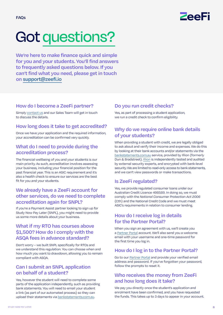

# Got questions?

**We're here to make finance quick and simple for you and your students. You'll find answers to frequently asked questions below. If you can't find what you need, please get in touch on [support@zeefi.io](mailto:support%40zeefi.io?subject=)**

#### **How do I become a ZeeFi partner?**

Simply [contact us](https://zeefi.io/contact-us/) and our Sales Team will get in touch to discuss the details.

#### **How long does it take to get accredited?**

Once we have your application and the required information, your accreditation can be confirmed very quickly.

#### **What do I need to provide during the accreditation process?**

The financial wellbeing of you and your students is our main priority. As such, accreditation involves assessing your business, including your financial position for the past financial year. This is an ASIC requirement and it's also a health check to ensure our services are the best fit for you and your students.

#### **We already have a ZeeFi account for other services, do we need to complete accreditation again for SNPL?**

If you're a Payment Assist partner looking to sign up for Study Now Pay Later (SNPL), you might need to provide us some more details about your business.

#### **What if my RTO has courses above \$1,500? How do I comply with the ASQA fees in advance standard?**

Don't worry – we built SNPL specifically for RTOs and we understand this regulation. You can choose when and how much you want to drawdown, allowing you to remain compliant with ASQA.

#### **Can I submit an SNPL application on behalf of a student?**

Yes, however the student will need to complete some parts of the application independently, such as providing bank statements. You will need to email your student a link (as part of our automated process) so they can upload their statements via [bankstatements.com.au](http://BankStatements.com.au  ).

#### **Do you run credit checks?**

Yes, as part of processing a student application, we run a credit check to confirm eligibility.

#### **Why do we require online bank details of your students?**

When providing a student with credit, we are legally obliged to ask about and verify their income and expenses. We do this by looking at their bank accounts and/or statements via the [bankstatements.com.au](http://bankstatements.com.au) service, provided by Illion (formerly Dun & Bradstreet). [Illion](https://bankstatements.com.au/about/security) is independently tested and audited by external security experts, and encrypted with bank-level security. We are limited to read-only access to bank statements, and we can't view passwords or make transactions.

#### **Is ZeeFi regulated?**

Yes, we provide regulated consumer loans under our Australian Credit Licence 498589. In doing so, we must comply with the *National Consumer Protection Act 2006* (Cth) and the National Credit Code and we must meet ASIC's requirements in relation to consumer lending.

#### **How do I receive log in details for the Partner Portal?**

When you sign an agreement with us, we'll create you a [Partner Portal](https://portal.zeefi.io/s/login/) account. We'll also send you a welcome email with your username and one-time password for the first time you log in.

#### **How do I log in to the Partner Portal?**

Go to our [Partner Portal](https://portal.zeefi.io/s/login/) and provide your verified email address and password. If you've forgotten your password, follow the prompts to reset it.

#### **Who receives the money from ZeeFi and how long does it take?**

We pay you directly once the student's application and enrolment have been confirmed, and you have requested the funds. This takes up to 3 days to appear in your account.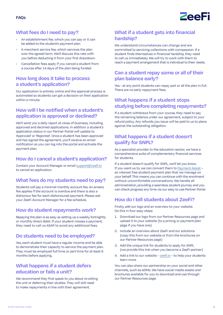

#### **What fees do I need to pay?**

- An establishment fee, which you can pay or it can be added to the student's payment plan
- A merchant service fee, which services the plan over the agreed term. We'll discuss this rate with you before deducting it from your first drawdown
- Cancellation fees apply if you cancel a student from a course after 14 days of the plan being funded

#### **How long does it take to process a student's application?**

Our application is entirely online and the approval process is automated so students can get a decision on their application within a minute.

#### **How will I be notified when a student's application is approved or declined?**

We'll send you a daily report at close of business, including approved and declined applications. In addition: a student's application status in our Partner Portal will update to 'Approved' or 'Rejected'. Once a student has been approved and has signed the agreement, you'll receive an email notification so you can log into the portal and activate the payment plan.

#### **How do I cancel a student's application?**

Contact your Account Manager or email [support@zeefi.io](mailto:support%40zeefi.io?subject=)  to cancel an application.

#### **What fees do my students need to pay?**

Students will pay a minimal monthly account fee. An arrears fee applies if the account is overdue and there is also a dishonour fee for each dishonoured payment. Please ask your ZeeFi Account Manager for a fee schedule.

#### **How do student repayments work?**

Repaying the plan is as easy as setting up a weekly, fortnightly or monthly direct debit. If your student misses a payment, they need to call us ASAP to avoid any additional fees.

#### **Do students need to be employed?**

Yes, each student must have a regular income and be able to demonstrate their capacity to service the payment plan. They must be employed full time or part time for at least 6 months before applying.

#### **What happens if a student defers education or fails a unit?**

We recommend they first speak to you about re-sitting the unit or deferring their studies. They will still need to make repayments in line with their agreement.

#### **What if a student gets into financial hardship?**

We understand circumstances can change and are committed to servicing collections with compassion. If a student finds themselves in financial hardship, they need to call us immediately. We will try to work with them to reach a payment arrangement that is individual to their needs.

#### **Can a student repay some or all of their plan balance early?**

Yes - at any point students can repay part or all the plan in full. There are no early repayment fees.

#### **What happens if a student stops studying before completing repayments?**

If a student withdraws from your course, they need to pay the remaining balance under our agreement, subject to your refund policy. Any refunds you issue will be paid to us to place against the outstanding obligation.

#### **What happens if a student doesn't qualify for SNPL?**

As a specialist provider to the education sector, we have a comprehensive suite of complementary financial services for students.

If a student doesn't qualify for SNPL, we'll let you know. If you want us to, we can convert them to [Payment Assist](https://zeefi.io/education-providers/payment-assist/) – an interest free student payment plan that we manage on your behalf. This means you can continue with the enrolment without uncomfortable conversations. We handle all administration, providing a seamless student journey and you can check progress any time via our easy to use Partner Portal.

#### **How do I tell students about ZeeFi?**

Firstly, add our logo and an overview to your website. Do this in four easy steps:

- 1. Download our logo from our Partner Resources page and upload it to your website (to a pricing or payment plan page if you have one)
- 2. Include an overview about ZeeFi and our solutions (copy this from our website or from the brochures on our Partner Resources page)
- 3. Add the unique link for students to apply for SNPL (we provide this link when you become a ZeeFi partner)
- 4. Add a link to our website – [zeefi.io](http://zeefi.io) to help your students learn more

You can also share our partnership on your social and other channels, such as eDMs. We have social media assets and brochures available for you to download and use through our Partner Resources page.